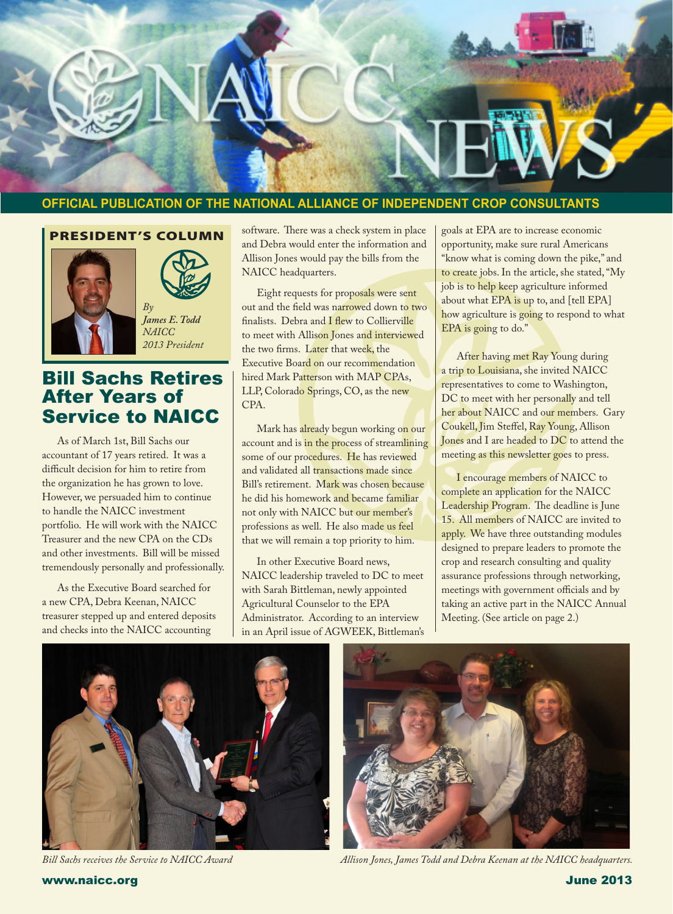

### **OFFICIAL PUBLICATION OF THE NATIONAL ALLIANCE OF INDEPENDENT CROP CONSULTANTS**

### PRESIDENT'S COLUMN



Ī



*James E. Todd NAICC 2013 President*

### Bill Sachs Retires After Years of Service to NAICC

As of March 1st, Bill Sachs our accountant of 17 years retired. It was a difficult decision for him to retire from the organization he has grown to love. However, we persuaded him to continue to handle the NAICC investment portfolio. He will work with the NAICC Treasurer and the new CPA on the CDs and other investments. Bill will be missed tremendously personally and professionally.

As the Executive Board searched for a new CPA, Debra Keenan, NAICC treasurer stepped up and entered deposits and checks into the NAICC accounting

software. There was a check system in place and Debra would enter the information and Allison Jones would pay the bills from the NAICC headquarters.

Eight requests for proposals were sent out and the field was narrowed down to two finalists. Debra and I flew to Collierville to meet with Allison Jones and interviewed the two firms. Later that week, the Executive Board on our recommendation hired Mark Patterson with MAP CPAs, LLP, Colorado Springs, CO, as the new CPA.

Mark has already begun working on our account and is in the process of streamlining some of our procedures. He has reviewed and validated all transactions made since Bill's retirement. Mark was chosen because he did his homework and became familiar not only with NAICC but our member's professions as well. He also made us feel that we will remain a top priority to him.

In other Executive Board news, NAICC leadership traveled to DC to meet with Sarah Bittleman, newly appointed Agricultural Counselor to the EPA Administrator. According to an interview in an April issue of AGWEEK, Bittleman's goals at EPA are to increase economic opportunity, make sure rural Americans "know what is coming down the pike," and to create jobs. In the article, she stated, "My job is to help keep agriculture informed about what EPA is up to, and [tell EPA] how agriculture is going to respond to what EPA is going to do."

After having met Ray Young during a trip to Louisiana, she invited NAICC representatives to come to Washington, DC to meet with her personally and tell her about NAICC and our members. Gary Coukell, Jim Steffel, Ray Young, Allison Jones and I are headed to DC to attend the meeting as this newsletter goes to press.

I encourage members of NAICC to complete an application for the NAICC Leadership Program. The deadline is June 15. All members of NAICC are invited to apply. We have three outstanding modules designed to prepare leaders to promote the crop and research consulting and quality assurance professions through networking, meetings with government officials and by taking an active part in the NAICC Annual Meeting. (See article on page 2.)





*Bill Sachs receives the Service to NAICC Award Allison Jones, James Todd and Debra Keenan at the NAICC headquarters.*

www.naicc.org June 2013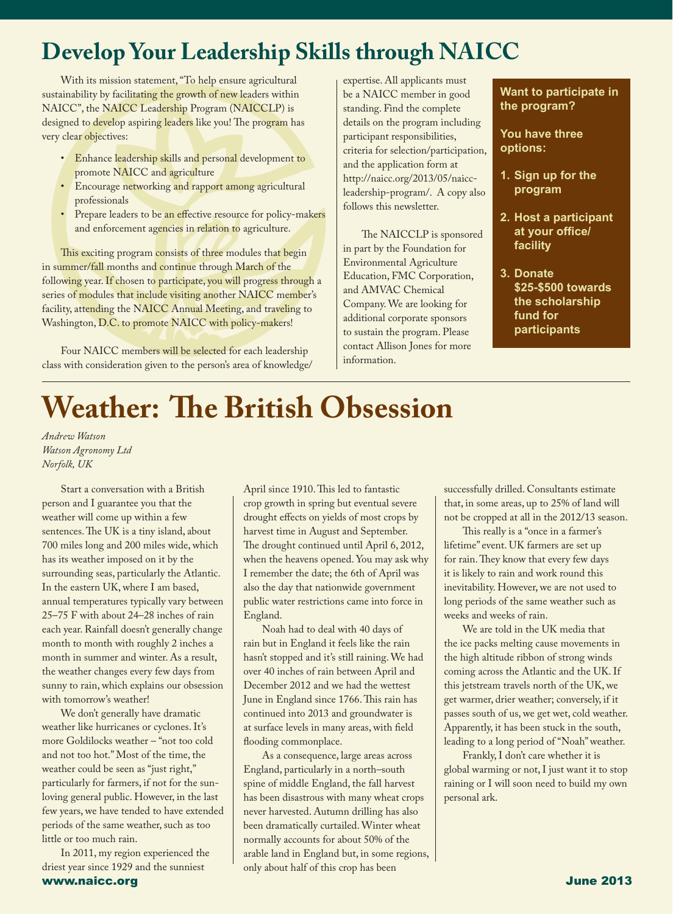# **Develop Your Leadership Skills through NAICC**

With its mission statement, "To help ensure agricultural sustainability by facilitating the growth of new leaders within NAICC", the NAICC Leadership Program (NAICCLP) is designed to develop aspiring leaders like you! The program has very clear objectives:

- Enhance leadership skills and personal development to promote NAICC and agriculture
- Encourage networking and rapport among agricultural professionals
- Prepare leaders to be an effective resource for policy-makers and enforcement agencies in relation to agriculture.

This exciting program consists of three modules that begin in summer/fall months and continue through March of the following year. If chosen to participate, you will progress through a series of modules that include visiting another NAICC member's facility, attending the NAICC Annual Meeting, and traveling to Washington, D.C. to promote NAICC with policy-makers!

Four NAICC members will be selected for each leadership class with consideration given to the person's area of knowledge/ expertise. All applicants must be a NAICC member in good standing. Find the complete details on the program including participant responsibilities, criteria for selection/participation, and the application form at http://naicc.org/2013/05/naiccleadership-program/. A copy also follows this newsletter.

The NAICCLP is sponsored in part by the Foundation for Environmental Agriculture Education, FMC Corporation, and AMVAC Chemical Company. We are looking for additional corporate sponsors to sustain the program. Please contact Allison Jones for more information.

**Want to participate in the program?**

**You have three options:**

- **1. Sign up for the program**
- **2. Host a participant at your office/ facility**
- **3. Donate \$25-\$500 towards the scholarship fund for participants**

# **Weather: The British Obsession**

*Andrew Watson Watson Agronomy Ltd Norfolk, UK* 

Start a conversation with a British person and I guarantee you that the weather will come up within a few sentences. The UK is a tiny island, about 700 miles long and 200 miles wide, which has its weather imposed on it by the surrounding seas, particularly the Atlantic. In the eastern UK, where I am based, annual temperatures typically vary between 25–75 F with about 24–28 inches of rain each year. Rainfall doesn't generally change month to month with roughly 2 inches a month in summer and winter. As a result, the weather changes every few days from sunny to rain, which explains our obsession with tomorrow's weather!

We don't generally have dramatic weather like hurricanes or cyclones. It's more Goldilocks weather – "not too cold and not too hot." Most of the time, the weather could be seen as "just right," particularly for farmers, if not for the sunloving general public. However, in the last few years, we have tended to have extended periods of the same weather, such as too little or too much rain.

www.naicc.org June 2013 In 2011, my region experienced the driest year since 1929 and the sunniest

April since 1910. This led to fantastic crop growth in spring but eventual severe drought effects on yields of most crops by harvest time in August and September. The drought continued until April 6, 2012, when the heavens opened. You may ask why I remember the date; the 6th of April was also the day that nationwide government public water restrictions came into force in England.

Noah had to deal with 40 days of rain but in England it feels like the rain hasn't stopped and it's still raining. We had over 40 inches of rain between April and December 2012 and we had the wettest June in England since 1766. This rain has continued into 2013 and groundwater is at surface levels in many areas, with field flooding commonplace.

As a consequence, large areas across England, particularly in a north–south spine of middle England, the fall harvest has been disastrous with many wheat crops never harvested. Autumn drilling has also been dramatically curtailed. Winter wheat normally accounts for about 50% of the arable land in England but, in some regions, only about half of this crop has been

successfully drilled. Consultants estimate that, in some areas, up to 25% of land will not be cropped at all in the 2012/13 season.

This really is a "once in a farmer's lifetime" event. UK farmers are set up for rain. They know that every few days it is likely to rain and work round this inevitability. However, we are not used to long periods of the same weather such as weeks and weeks of rain.

We are told in the UK media that the ice packs melting cause movements in the high altitude ribbon of strong winds coming across the Atlantic and the UK. If this jetstream travels north of the UK, we get warmer, drier weather; conversely, if it passes south of us, we get wet, cold weather. Apparently, it has been stuck in the south, leading to a long period of "Noah" weather.

Frankly, I don't care whether it is global warming or not, I just want it to stop raining or I will soon need to build my own personal ark.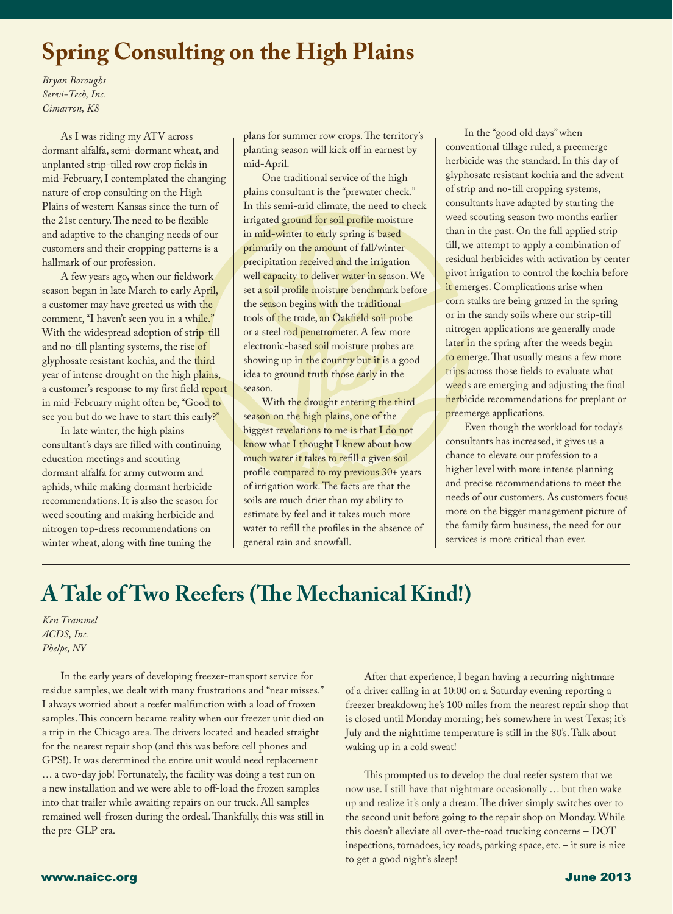## **Spring Consulting on the High Plains**

*Bryan Boroughs Servi-Tech, Inc. Cimarron, KS*

Ī

As I was riding my ATV across dormant alfalfa, semi-dormant wheat, and unplanted strip-tilled row crop fields in mid-February,I contemplated the changing nature of crop consulting on the High Plains of western Kansas since the turn of the 21st century. The need to be flexible and adaptive to the changing needs of our customers and their cropping patterns is a hallmark of our profession.

A few years ago, when our fieldwork season began in late March to early April, a customer may have greeted us with the comment, "I haven't seen you in a while." With the widespread adoption of strip-till and no-till planting systems, the rise of glyphosate resistant kochia, and the third year of intense drought on the high plains, a customer's response to my first field report in mid-February might often be,"Good to see you but do we have to start this early?"

In late winter, the high plains consultant's days are filled with continuing education meetings and scouting dormant alfalfa for army cutworm and aphids, while making dormant herbicide recommendations. It is also the season for weed scouting and making herbicide and nitrogen top-dress recommendations on winter wheat, along with fine tuning the

plans for summer row crops. The territory's planting season will kick off in earnest by mid-April.

One traditional service of the high plains consultant is the "prewater check." In this semi-arid climate, the need to check irrigated ground for soil profile moisture in mid-winter to early spring is based primarily on the amount of fall/winter precipitation received and the irrigation well capacity to deliver water in season. We set a soil profile moisture benchmark before the season begins with the traditional tools of the trade, an Oakfield soil probe or a steel rod penetrometer. A few more electronic-based soil moisture probes are showing up in the country but it is a good idea to ground truth those early in the season.

With the drought entering the third season on the high plains, one of the biggest revelations to me is that I do not know what I thought I knew about how much water it takes to refill a given soil profile compared to my previous 30+ years of irrigation work. The facts are that the soils are much drier than my ability to estimate by feel and it takes much more water to refill the profiles in the absence of general rain and snowfall.

In the "good old days" when conventional tillage ruled, a preemerge herbicide was the standard. In this day of glyphosate resistant kochia and the advent of strip and no-till cropping systems, consultants have adapted by starting the weed scouting season two months earlier than in the past. On the fall applied strip till, we attempt to apply a combination of residual herbicides with activation by center pivot irrigation to control the kochia before it emerges. Complications arise when corn stalks are being grazed in the spring or in the sandy soils where our strip-till nitrogen applications are generally made later in the spring after the weeds begin to emerge. That usually means a few more trips across those fields to evaluate what weeds are emerging and adjusting the final herbicide recommendations for preplant or preemerge applications.

Even though the workload for today's consultants has increased, it gives us a chance to elevate our profession to a higher level with more intense planning and precise recommendations to meet the needs of our customers. As customers focus more on the bigger management picture of the family farm business, the need for our services is more critical than ever.

### **A Tale of Two Reefers (The Mechanical Kind!)**

*Ken Trammel ACDS, Inc. Phelps, NY*

 In the early years of developing freezer-transport service for residue samples, we dealt with many frustrations and "near misses." I always worried about a reefer malfunction with a load of frozen samples. This concern became reality when our freezer unit died on a trip in the Chicago area. The drivers located and headed straight for the nearest repair shop (and this was before cell phones and GPS!). It was determined the entire unit would need replacement … a two-day job! Fortunately, the facility was doing a test run on a new installation and we were able to off-load the frozen samples into that trailer while awaiting repairs on our truck. All samples remained well-frozen during the ordeal.Thankfully, this was still in the pre-GLP era.

After that experience, I began having a recurring nightmare of a driver calling in at 10:00 on a Saturday evening reporting a freezer breakdown; he's 100 miles from the nearest repair shop that is closed until Monday morning; he's somewhere in west Texas; it's July and the nighttime temperature is still in the 80's. Talk about waking up in a cold sweat!

This prompted us to develop the dual reefer system that we now use. I still have that nightmare occasionally … but then wake up and realize it's only a dream. The driver simply switches over to the second unit before going to the repair shop on Monday. While this doesn't alleviate all over-the-road trucking concerns – DOT inspections, tornadoes, icy roads, parking space, etc. – it sure is nice to get a good night's sleep!